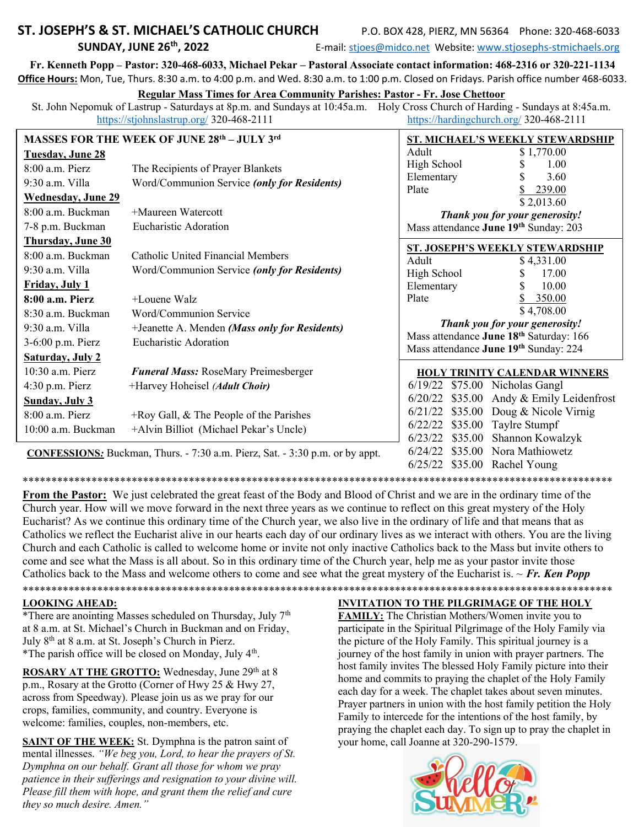# ST. JOSEPH'S & ST. MICHAEL'S CATHOLIC CHURCH **SUNDAY, JUNE 26th, 2022**

P.O. BOX 428, PIERZ, MN 56364 Phone: 320-468-6033

E-mail: stjoes@midco.net Website: www.stjosephs-stmichaels.org

Fr. Kenneth Popp - Pastor: 320-468-6033, Michael Pekar - Pastoral Associate contact information: 468-2316 or 320-221-1134 Office Hours: Mon, Tue, Thurs. 8:30 a.m. to 4:00 p.m. and Wed. 8:30 a.m. to 1:00 p.m. Closed on Fridays. Parish office number 468-6033.

## Regular Mass Times for Area Community Parishes: Pastor - Fr. Jose Chettoor

St. John Nepomuk of Lastrup - Saturdays at 8p.m. and Sundays at 10:45a.m. Holy Cross Church of Harding - Sundays at 8:45a.m. https://stjohnslastrup.org/ 320-468-2111 https://hardingchurch.org/ 320-468-2111

| MASSES FOR THE WEEK OF JUNE 28th - JULY 3rd                                                |                                               | ST. MICHAEL'S WEEKLY STEWARDSHIP                                                             |
|--------------------------------------------------------------------------------------------|-----------------------------------------------|----------------------------------------------------------------------------------------------|
| <b>Tuesday, June 28</b>                                                                    |                                               | Adult<br>\$1,770.00                                                                          |
| $8:00$ a.m. Pierz                                                                          | The Recipients of Prayer Blankets             | High School<br>1.00                                                                          |
| 9:30 a.m. Villa                                                                            | Word/Communion Service (only for Residents)   | 3.60<br>Elementary                                                                           |
| <b>Wednesday</b> , June 29                                                                 |                                               | Plate<br>239.00<br>\$2,013.60                                                                |
| 8:00 a.m. Buckman                                                                          | +Maureen Watercott                            | Thank you for your generosity!                                                               |
| 7-8 p.m. Buckman                                                                           | Eucharistic Adoration                         | Mass attendance June 19th Sunday: 203                                                        |
| Thursday, June 30                                                                          |                                               |                                                                                              |
| $8:00$ a.m. Buckman                                                                        | <b>Catholic United Financial Members</b>      | <b>ST. JOSEPH'S WEEKLY STEWARDSHIP</b><br>Adult<br>\$4,331.00                                |
| 9:30 a.m. Villa                                                                            | Word/Communion Service (only for Residents)   | High School<br>17.00                                                                         |
| Friday, July 1                                                                             |                                               | 10.00<br>Elementary                                                                          |
| 8:00 a.m. Pierz                                                                            | +Louene Walz                                  | Plate<br>350.00                                                                              |
| 8:30 a.m. Buckman                                                                          | Word/Communion Service                        | \$4,708.00                                                                                   |
| 9:30 a.m. Villa                                                                            | +Jeanette A. Menden (Mass only for Residents) | Thank you for your generosity!                                                               |
| 3-6:00 p.m. Pierz                                                                          | Eucharistic Adoration                         | Mass attendance June 18 <sup>th</sup> Saturday: 166<br>Mass attendance June 19th Sunday: 224 |
| <b>Saturday, July 2</b>                                                                    |                                               |                                                                                              |
| 10:30 a.m. Pierz                                                                           | <b>Funeral Mass: RoseMary Preimesberger</b>   | <b>HOLY TRINITY CALENDAR WINNERS</b>                                                         |
| $4:30$ p.m. Pierz                                                                          | +Harvey Hoheisel (Adult Choir)                | $6/19/22$ \$75.00 Nicholas Gangl                                                             |
| <b>Sunday, July 3</b>                                                                      |                                               | \$35.00<br>Andy & Emily Leidenfrost<br>6/20/22                                               |
| $8:00$ a.m. Pierz                                                                          | $+$ Roy Gall, & The People of the Parishes    | \$35.00<br>Doug & Nicole Virnig<br>6/21/22                                                   |
| 10:00 a.m. Buckman                                                                         | +Alvin Billiot (Michael Pekar's Uncle)        | Taylre Stumpf<br>\$35.00<br>6/22/22                                                          |
| CONFERING Buckman Thurs $7.30 \text{ nm}$ Digrz $\text{Sat} - 3.30 \text{ nm}$ or by annot |                                               | \$35.00<br>Shannon Kowalzyk<br>6/23/22<br>$6/24/22$ \$35.00 Nora Mathiowetz                  |

**CONFESSIONS:** Buckman, Thurs. - 7:30 a.m. Pierz, Sat. - 3:30 p.m. or by appt.

From the Pastor: We just celebrated the great feast of the Body and Blood of Christ and we are in the ordinary time of the Church year. How will we move forward in the next three years as we continue to reflect on this great mystery of the Holy Eucharist? As we continue this ordinary time of the Church year, we also live in the ordinary of life and that means that as Catholics we reflect the Eucharist alive in our hearts each day of our ordinary lives as we interact with others. You are the living

Church and each Catholic is called to welcome home or invite not only inactive Catholics back to the Mass but invite others to come and see what the Mass is all about. So in this ordinary time of the Church year, help me as your pastor invite those Catholics back to the Mass and welcome others to come and see what the great mystery of the Eucharist is.  $\sim$  Fr. Ken Popp

# 

**LOOKING AHEAD:** \*There are anointing Masses scheduled on Thursday, July 7<sup>th</sup> at 8 a.m. at St. Michael's Church in Buckman and on Friday, July 8<sup>th</sup> at 8 a.m. at St. Joseph's Church in Pierz.

\*The parish office will be closed on Monday, July 4<sup>th</sup>.

ROSARY AT THE GROTTO: Wednesday, June 29th at 8 p.m., Rosary at the Grotto (Corner of Hwy 25 & Hwy 27, across from Speedway). Please join us as we pray for our crops, families, community, and country. Everyone is welcome: families, couples, non-members, etc.

**SAINT OF THE WEEK:** St. Dymphna is the patron saint of mental illnesses. "We beg you, Lord, to hear the prayers of St. Dymphna on our behalf. Grant all those for whom we pray patience in their sufferings and resignation to your divine will. Please fill them with hope, and grant them the relief and cure they so much desire. Amen."

# **INVITATION TO THE PILGRIMAGE OF THE HOLY**

\*\*\*\*\*

6/25/22 \$35.00 Rachel Young

FAMILY: The Christian Mothers/Women invite you to participate in the Spiritual Pilgrimage of the Holy Family via the picture of the Holy Family. This spiritual journey is a journey of the host family in union with prayer partners. The host family invites The blessed Holy Family picture into their home and commits to praying the chaplet of the Holy Family each day for a week. The chaplet takes about seven minutes. Prayer partners in union with the host family petition the Holy Family to intercede for the intentions of the host family, by praying the chaplet each day. To sign up to pray the chaplet in your home, call Joanne at 320-290-1579.